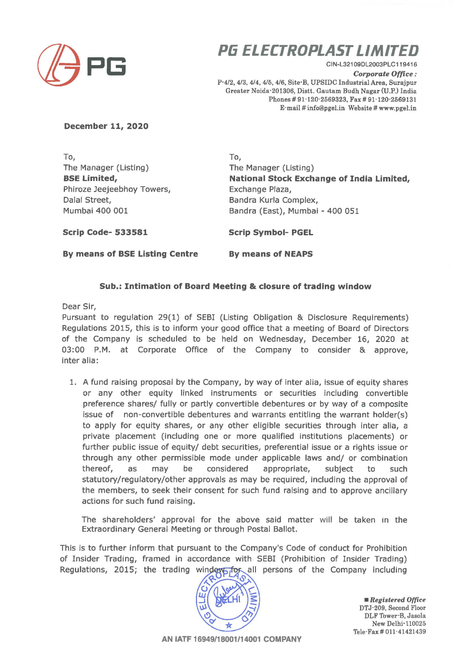

## **PG ELECTROPLAST LIMITED**

CIN-L321 09DL2003PLC119416 *Corporate Office:*  P-4/2, 4/3, 4/4, 4/5, 4/6, Site·B, UPSIDC Industrial Area, Surajpur Greater Noida-201306, Distt. Gautam Budh Nagar (U.P.) India Phones# 91-120-2569323, Fax# 91-120-2569131 E-mail# info@pgel.in Website# www.pgel.in

## **December 11, 2020**

To, The Manager (Listing) **BSE Limited,**  Phiroze Jeejeebhoy Towers, Dalal Street, Mumbai 400 001

To, The Manager (Listing) **National Stock Exchange of India Limited,**  Exchange Plaza, Bandra Kurla Complex, Sandra (East), Mumbai - 400 051

**Scrip Code- 533581** 

**Scrip Symbol- PGEL** 

**By means of BSE Listing Centre** 

**By means of NEAPS** 

## **Sub.: Intimation of Board Meeting & closure of trading window**

Dear Sir,

Pursuant to regulation 29(1) of SEBI (Listing Obligation & Disclosure Requirements) Regulations 2015, this is to inform your good office that a meeting of Board of Directors of the Company is scheduled to be held on Wednesday, December 16, 2020 at 03:00 P.M. at Corporate Office of the Company to consider & approve, inter alia:

1. A fund raising proposal by the Company, by way of inter alia, issue of equity shares or any other equity linked instruments or securities including convertible preference shares/ fully or partly convertible debentures or by way of a composite issue of non-convertible debentures and warrants entitling the warrant holder(s) to apply for equity shares, or any other eligible securities through inter alia, a private placement (including one or more qualified institutions placements) or further public issue of equity/ debt securities, preferential issue or a rights issue or through any other permissible mode under applicable laws and/ or combination thereof, as may be considered appropriate, subject to such statutory/regulatory/other approvals as may be required, including the approval of the members, to seek their consent for such fund raising and to approve ancillary actions for such fund raising.

The shareholders' approval for the above said matter will be taken in the Extraordinary General Meeting or through Postal Ballot.

This is to further inform that pursuant to the Company's Code of conduct for Prohibition of Insider Trading, framed in accordance with SEBI (Prohibition of Insider Trading) Regulations, 2015; the trading window for all persons of the Company including



• *Registered Office*  DTJ-209, Second Floor DLF Tower-B, Jasola New Delhi-110025 Tele-Fax# 011-41421439

**AN IATF 16949/18001114001 COMPANY**